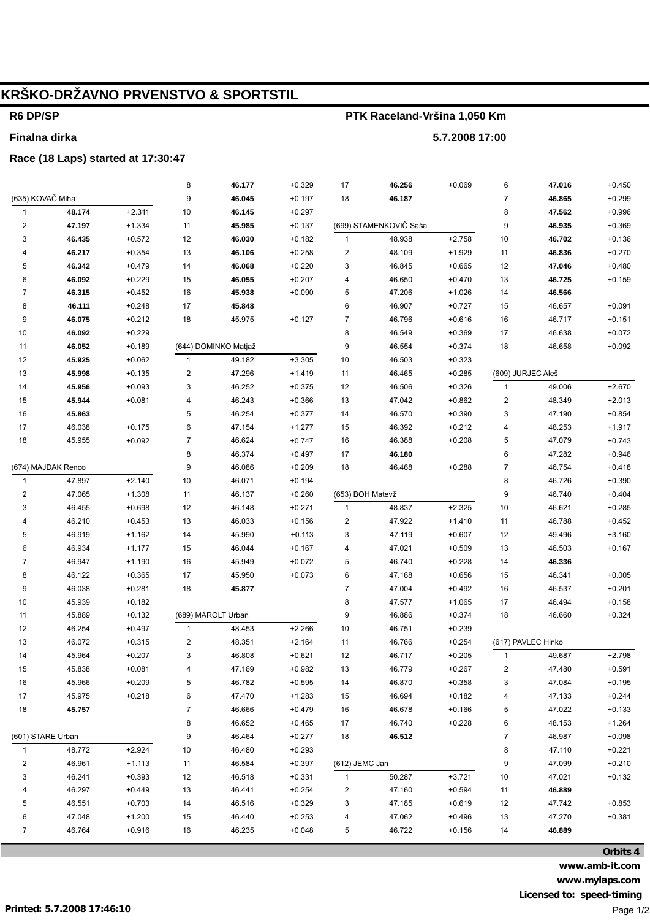# **KRŠKO-DRŽAVNO PRVENSTVO & SPORTSTIL**

### **R6 DP/SP**

**Finalna dirka**

### **PTK Raceland-Vršina 1,050 Km**

**5.7.2008 17:00**

#### **Race (18 Laps) started at 17:30:47**

|                         |                    |          | 8            | 46.177               | $+0.329$ | 17                      | 46.256                 | $+0.069$ | 6                 | 47.016             | $+0.450$ |
|-------------------------|--------------------|----------|--------------|----------------------|----------|-------------------------|------------------------|----------|-------------------|--------------------|----------|
| (635) KOVAČ Miha        |                    |          | 9            | 46.045               | $+0.197$ | 18                      | 46.187                 |          | $\overline{7}$    | 46.865             | $+0.299$ |
| $\mathbf{1}$            | 48.174             | $+2.311$ | 10           | 46.145               | $+0.297$ |                         |                        |          | 8                 | 47.562             | $+0.996$ |
| $\mathbf 2$             | 47.197             | $+1.334$ | 11           | 45.985               | $+0.137$ |                         | (699) STAMENKOVIČ Saša |          | 9                 | 46.935             | $+0.369$ |
| 3                       | 46.435             | $+0.572$ | 12           | 46.030               | $+0.182$ | $\mathbf{1}$            | 48.938                 | $+2.758$ | 10                | 46.702             | $+0.136$ |
| 4                       | 46.217             | $+0.354$ | 13           | 46.106               | $+0.258$ | $\overline{\mathbf{c}}$ | 48.109                 | $+1.929$ | 11                | 46.836             | $+0.270$ |
| 5                       | 46.342             | $+0.479$ | 14           | 46.068               | $+0.220$ | 3                       | 46.845                 | $+0.665$ | 12                | 47.046             | $+0.480$ |
| 6                       | 46.092             | $+0.229$ | 15           | 46.055               | $+0.207$ | 4                       | 46.650                 | $+0.470$ | 13                | 46.725             | $+0.159$ |
| $\overline{7}$          | 46.315             | $+0.452$ | 16           | 45.938               | $+0.090$ | $\sqrt{5}$              | 47.206                 | $+1.026$ | 14                | 46.566             |          |
| 8                       | 46.111             | $+0.248$ | 17           | 45.848               |          | $\,6$                   | 46.907                 | $+0.727$ | 15                | 46.657             | $+0.091$ |
| 9                       | 46.075             | $+0.212$ | 18           | 45.975               | $+0.127$ | $\boldsymbol{7}$        | 46.796                 | $+0.616$ | 16                | 46.717             | $+0.151$ |
| 10                      | 46.092             | $+0.229$ |              |                      |          | 8                       | 46.549                 | $+0.369$ | 17                | 46.638             | $+0.072$ |
| 11                      | 46.052             | $+0.189$ |              | (644) DOMINKO Matjaž |          | 9                       | 46.554                 | $+0.374$ | 18                | 46.658             | $+0.092$ |
| 12                      | 45.925             | $+0.062$ | 1            | 49.182               | $+3.305$ | 10                      | 46.503                 | $+0.323$ |                   |                    |          |
| $13$                    | 45.998             | $+0.135$ | 2            | 47.296               | $+1.419$ | 11                      | 46.465                 | $+0.285$ | (609) JURJEC Aleš |                    |          |
| 14                      | 45.956             | $+0.093$ | 3            | 46.252               | $+0.375$ | 12                      | 46.506                 | $+0.326$ | $\mathbf{1}$      | 49.006             | $+2.670$ |
| 15                      | 45.944             | $+0.081$ | 4            | 46.243               | $+0.366$ | 13                      | 47.042                 | $+0.862$ | 2                 | 48.349             | $+2.013$ |
| 16                      | 45.863             |          | 5            | 46.254               | $+0.377$ | 14                      | 46.570                 | $+0.390$ | 3                 | 47.190             | $+0.854$ |
| 17                      | 46.038             | $+0.175$ | 6            | 47.154               | $+1.277$ | 15                      | 46.392                 | $+0.212$ | 4                 | 48.253             | $+1.917$ |
| 18                      | 45.955             | $+0.092$ | 7            | 46.624               | $+0.747$ | 16                      | 46.388                 | $+0.208$ | 5                 | 47.079             | $+0.743$ |
|                         |                    |          | 8            | 46.374               | $+0.497$ | 17                      | 46.180                 |          | 6                 | 47.282             | $+0.946$ |
|                         | (674) MAJDAK Renco |          | 9            | 46.086               | $+0.209$ | 18                      | 46.468                 | $+0.288$ | $\overline{7}$    | 46.754             | $+0.418$ |
| $\mathbf{1}$            | 47.897             | $+2.140$ | 10           | 46.071               | $+0.194$ |                         |                        |          | 8                 | 46.726             | $+0.390$ |
| $\overline{\mathbf{c}}$ | 47.065             | $+1.308$ | 11           | 46.137               | $+0.260$ | (653) BOH Matevž        |                        |          | 9                 | 46.740             | $+0.404$ |
| 3                       | 46.455             | $+0.698$ | 12           | 46.148               | $+0.271$ | $\mathbf{1}$            | 48.837                 | $+2.325$ | 10                | 46.621             | $+0.285$ |
| 4                       | 46.210             | $+0.453$ | 13           | 46.033               | $+0.156$ | $\overline{c}$          | 47.922                 | $+1.410$ | 11                | 46.788             | $+0.452$ |
| 5                       | 46.919             | $+1.162$ | 14           | 45.990               | $+0.113$ | 3                       | 47.119                 | $+0.607$ | 12                | 49.496             | $+3.160$ |
| 6                       | 46.934             | $+1.177$ | 15           | 46.044               | $+0.167$ | 4                       | 47.021                 | $+0.509$ | 13                | 46.503             | $+0.167$ |
| $\overline{7}$          | 46.947             | $+1.190$ | 16           | 45.949               | $+0.072$ | 5                       | 46.740                 | $+0.228$ | 14                | 46.336             |          |
| 8                       | 46.122             | $+0.365$ | 17           | 45.950               | $+0.073$ | $\,6$                   | 47.168                 | $+0.656$ | 15                | 46.341             | $+0.005$ |
| 9                       | 46.038             | $+0.281$ | 18           | 45.877               |          | $\overline{7}$          | 47.004                 | $+0.492$ | 16                | 46.537             | $+0.201$ |
| $10\,$                  | 45.939             | $+0.182$ |              |                      |          | 8                       | 47.577                 | $+1.065$ | 17                | 46.494             | $+0.158$ |
| 11                      | 45.889             | $+0.132$ |              | (689) MAROLT Urban   |          | 9                       | 46.886                 | $+0.374$ | 18                | 46.660             | $+0.324$ |
| 12                      | 46.254             | $+0.497$ | $\mathbf{1}$ | 48.453               | $+2.266$ | 10                      | 46.751                 | $+0.239$ |                   |                    |          |
| 13                      | 46.072             | $+0.315$ | 2            | 48.351               | $+2.164$ | 11                      | 46.766                 | $+0.254$ |                   | (617) PAVLEC Hinko |          |
| 14                      | 45.964             | $+0.207$ | 3            | 46.808               | $+0.621$ | 12                      | 46.717                 | $+0.205$ | $\mathbf{1}$      | 49.687             | $+2.798$ |
| 15                      | 45.838             | $+0.081$ | 4            | 47.169               | $+0.982$ | $13$                    | 46.779                 | $+0.267$ | 2                 | 47.480             | $+0.591$ |
| 16                      | 45.966             | $+0.209$ | 5            | 46.782               | $+0.595$ | 14                      | 46.870                 | $+0.358$ | 3                 | 47.084             | $+0.195$ |
| 17                      | 45.975             | $+0.218$ | 6            | 47.470               | $+1.283$ | 15                      | 46.694                 | $+0.182$ | 4                 | 47.133             | $+0.244$ |
| 18                      | 45.757             |          | 7            | 46.666               | $+0.479$ | 16                      | 46.678                 | $+0.166$ | 5                 | 47.022             | $+0.133$ |
|                         |                    |          | 8            | 46.652               | $+0.465$ | 17                      | 46.740                 | $+0.228$ | 6                 | 48.153             | $+1.264$ |
| (601) STARE Urban       |                    |          | 9            | 46.464               | $+0.277$ | 18                      | 46.512                 |          | $\bf 7$           | 46.987             | $+0.098$ |
| 1                       | 48.772             | $+2.924$ | 10           | 46.480               | $+0.293$ |                         |                        |          | 8                 | 47.110             | $+0.221$ |
| 2                       | 46.961             | $+1.113$ | 11           | 46.584               | $+0.397$ | (612) JEMC Jan          |                        |          | 9                 | 47.099             | $+0.210$ |
| 3                       | 46.241             | $+0.393$ | 12           | 46.518               | $+0.331$ | $\mathbf{1}$            | 50.287                 | $+3.721$ | $10$              | 47.021             | $+0.132$ |
| 4                       | 46.297             | $+0.449$ | 13           | 46.441               | $+0.254$ | $\overline{\mathbf{c}}$ | 47.160                 | $+0.594$ | 11                | 46.889             |          |
| 5                       | 46.551             | $+0.703$ | 14           | 46.516               | $+0.329$ | 3                       | 47.185                 | $+0.619$ | 12                | 47.742             | $+0.853$ |
| 6                       | 47.048             | $+1.200$ | 15           | 46.440               | $+0.253$ | 4                       | 47.062                 | $+0.496$ | 13                | 47.270             | $+0.381$ |
| $\overline{7}$          | 46.764             | $+0.916$ | 16           | 46.235               | $+0.048$ | 5                       | 46.722                 | $+0.156$ | 14                | 46.889             |          |
|                         |                    |          |              |                      |          |                         |                        |          |                   |                    |          |

**Orbits 4 www.amb-it.com www.mylaps.com Licensed to: speed-timing** Page 1/2